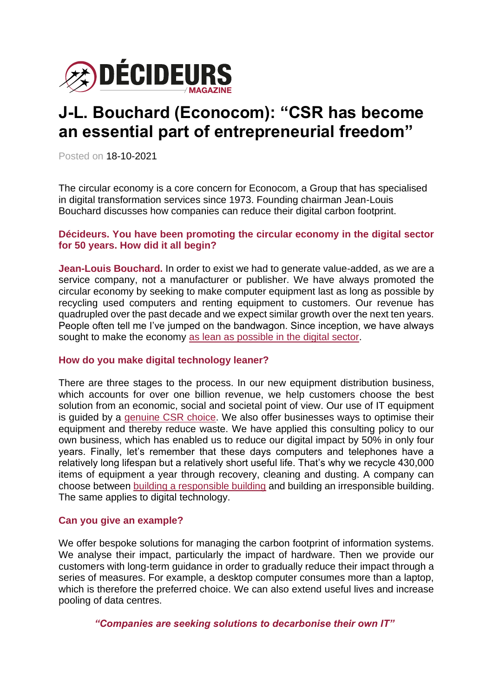

# **J-L. Bouchard (Econocom): "CSR has become an essential part of entrepreneurial freedom"**

Posted on 18-10-2021

The circular economy is a core concern for Econocom, a Group that has specialised in digital transformation services since 1973. Founding chairman Jean-Louis Bouchard discusses how companies can reduce their digital carbon footprint.

# **Décideurs. You have been promoting the circular economy in the digital sector for 50 years. How did it all begin?**

**Jean-Louis Bouchard.** In order to exist we had to generate value-added, as we are a service company, not a manufacturer or publisher. We have always promoted the circular economy by seeking to make computer equipment last as long as possible by recycling used computers and renting equipment to customers. Our revenue has quadrupled over the past decade and we expect similar growth over the next ten years. People often tell me I've jumped on the bandwagon. Since inception, we have always sought to make the economy [as lean as possible in the digital sector.](https://www.magazine-decideurs.com/news/numerique-et-environnement-une-relation-toxique)

## **How do you make digital technology leaner?**

There are three stages to the process. In our new equipment distribution business, which accounts for over one billion revenue, we help customers choose the best solution from an economic, social and societal point of view. Our use of IT equipment is guided by a [genuine CSR choice.](https://www.magazine-decideurs.com/news/transition-numerique-et-ecologique-naissance-d-une-ecologie-by-design-et-by-default) We also offer businesses ways to optimise their equipment and thereby reduce waste. We have applied this consulting policy to our own business, which has enabled us to reduce our digital impact by 50% in only four years. Finally, let's remember that these days computers and telephones have a relatively long lifespan but a relatively short useful life. That's why we recycle 430,000 items of equipment a year through recovery, cleaning and dusting. A company can choose between [building a responsible building](https://www.magazine-decideurs.com/news/l-economie-circulaire-a-un-tournant-dans-le-batiment) and building an irresponsible building. The same applies to digital technology.

## **Can you give an example?**

We offer bespoke solutions for managing the carbon footprint of information systems. We analyse their impact, particularly the impact of hardware. Then we provide our customers with long-term guidance in order to gradually reduce their impact through a series of measures. For example, a desktop computer consumes more than a laptop, which is therefore the preferred choice. We can also extend useful lives and increase pooling of data centres.

*"Companies are seeking solutions to decarbonise their own IT"*